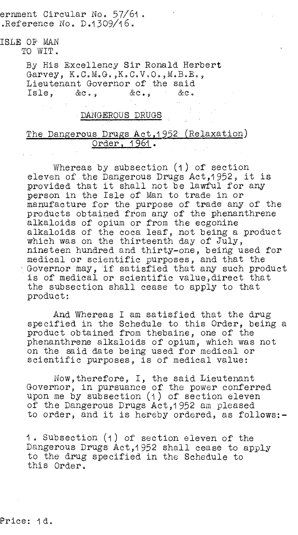ernment Circular No. 57/61.  $R$ eference No. D.1309/16.

## ISLE OF MAN

TO WIT.

By His Excellency Sir Ronald Herbert Garvey, K.C.M.G.,K.C.V.O.,M.B.E., Lieutenant Governor of the said Isle, &c., &c., &c.

## DANGEROUS DRUGS

## The Dangerous Drugs Act, 1952 (Relaxation) Order, 1961.

Whereas by subsection (1) of section eleven of the Dangerous Drugs Act,1952, it is provided that it shall not be lawful for any person in the Isle of Man to trade in or manufacture for the purpose of trade any of the products obtained from any of the phenanthrene alkaloids of opium or from the ecgonine alkaloids of the coca leaf, not being a product which was on the thirteenth day of July, nineteen hundred and thirty-one, being used for medical or scientific purposes, and that the Governor may, if satisfied that any such product is of medical or scientific value,direct that the subsection shall cease to apply to that product:

And Whereas I am satisfied that the drug specified in the Schedule to this Order, being a product obtained from thebaine, one of the phenanthrene alkaloids of opium, which was not on the said date being used for medical or scientific purposes, is of medical value:

Now,therefore, I, the said Lieutenant Governor, in pursuance of the power conferred upon me by subsection (1) of section eleven of the Dangerous Drugs Act,1952 am pleased to order, and it is hereby ordered, as follows:-

1. Subsection (1) of section eleven of the Dangerous Drugs Act,1952 shall cease to apply to the drug specified in the Schedule to this Order.